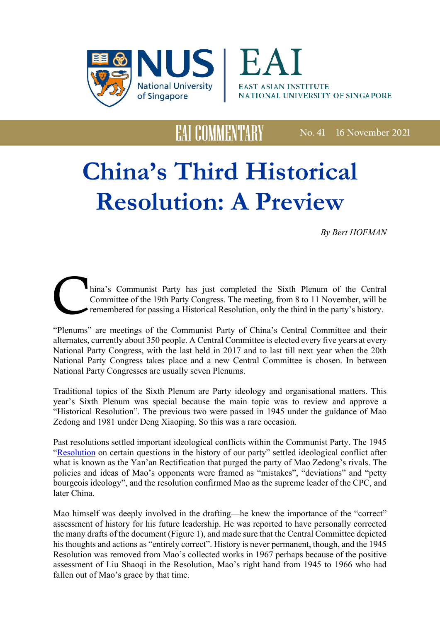



**No. 41 16 November 2021**

## **China's Third Historical Resolution: A Preview**

EAI COMMENTARY

*By Bert HOFMAN*

C hina's Communist Party has just completed the Sixth Plenum of the Central Committee of the 19th Party Congress. The meeting, from 8 to 11 November, will be remembered for passing a Historical Resolution, only the third in the party's history.

"Plenums" are meetings of the Communist Party of China's Central Committee and their alternates, currently about 350 people. A Central Committee is elected every five years at every National Party Congress, with the last held in 2017 and to last till next year when the 20th National Party Congress takes place and a new Central Committee is chosen. In between National Party Congresses are usually seven Plenums.

Traditional topics of the Sixth Plenum are Party ideology and organisational matters. This year's Sixth Plenum was special because the main topic was to review and approve a "Historical Resolution". The previous two were passed in 1945 under the guidance of Mao Zedong and 1981 under Deng Xiaoping. So this was a rare occasion.

Past resolutions settled important ideological conflicts within the Communist Party. The 1945 ["Resolution](http://www.marx2mao.com/PDFs/MaoSW3App.pdf) on certain questions in the history of our party" settled ideological conflict after what is known as the Yan'an Rectification that purged the party of Mao Zedong's rivals. The policies and ideas of Mao's opponents were framed as "mistakes", "deviations" and "petty bourgeois ideology", and the resolution confirmed Mao as the supreme leader of the CPC, and later China.

Mao himself was deeply involved in the drafting—he knew the importance of the "correct" assessment of history for his future leadership. He was reported to have personally corrected the many drafts of the document (Figure 1), and made sure that the Central Committee depicted his thoughts and actions as "entirely correct". History is never permanent, though, and the 1945 Resolution was removed from Mao's collected works in 1967 perhaps because of the positive assessment of Liu Shaoqi in the Resolution, Mao's right hand from 1945 to 1966 who had fallen out of Mao's grace by that time.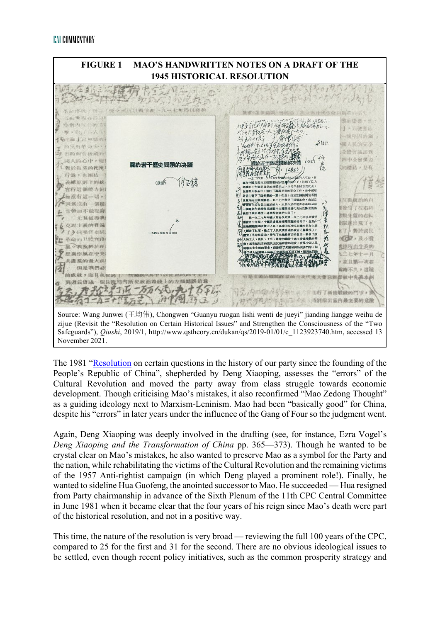

The 1981 ["Resolution](https://digitalarchive.wilsoncenter.org/document/121344.pdf?v=d461ad5001da989b8f96cc1dfb3c8ce7) on certain questions in the history of our party since the founding of the People's Republic of China", shepherded by Deng Xiaoping, assesses the "errors" of the Cultural Revolution and moved the party away from class struggle towards economic development. Though criticising Mao's mistakes, it also reconfirmed "Mao Zedong Thought" as a guiding ideology next to Marxism-Leninism. Mao had been "basically good" for China, despite his "errors" in later years under the influence of the Gang of Four so the judgment went.

Again, Deng Xiaoping was deeply involved in the drafting (see, for instance, Ezra Vogel's *Deng Xiaoping and the Transformation of China* pp. 365—373). Though he wanted to be crystal clear on Mao's mistakes, he also wanted to preserve Mao as a symbol for the Party and the nation, while rehabilitating the victims of the Cultural Revolution and the remaining victims of the 1957 Anti-rightist campaign (in which Deng played a prominent role!). Finally, he wanted to sideline Hua Guofeng, the anointed successor to Mao. He succeeded — Hua resigned from Party chairmanship in advance of the Sixth Plenum of the 11th CPC Central Committee in June 1981 when it became clear that the four years of his reign since Mao's death were part of the historical resolution, and not in a positive way.

This time, the nature of the resolution is very broad — reviewing the full 100 years of the CPC, compared to 25 for the first and 31 for the second. There are no obvious ideological issues to be settled, even though recent policy initiatives, such as the common prosperity strategy and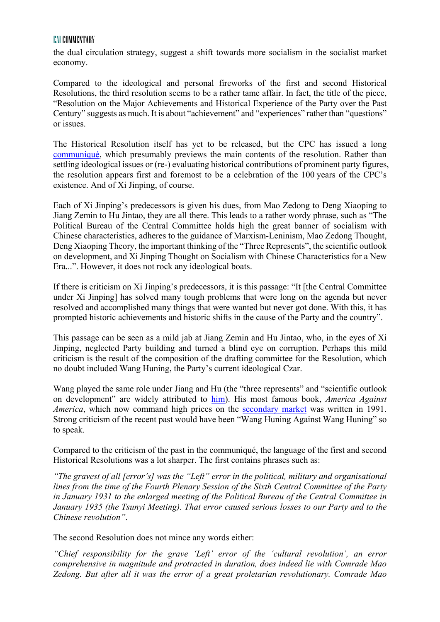## EAI COMMENTARY

the dual circulation strategy, suggest a shift towards more socialism in the socialist market economy.

Compared to the ideological and personal fireworks of the first and second Historical Resolutions, the third resolution seems to be a rather tame affair. In fact, the title of the piece, "Resolution on the Major Achievements and Historical Experience of the Party over the Past Century" suggests as much. It is about "achievement" and "experiences" rather than "questions" or issues.

The Historical Resolution itself has yet to be released, but the CPC has issued a long [communiqué,](http://www.news.cn/politics/2021-11/11/c_1128055386.htm) which presumably previews the main contents of the resolution. Rather than settling ideological issues or (re-) evaluating historical contributions of prominent party figures, the resolution appears first and foremost to be a celebration of the 100 years of the CPC's existence. And of Xi Jinping, of course.

Each of Xi Jinping's predecessors is given his dues, from Mao Zedong to Deng Xiaoping to Jiang Zemin to Hu Jintao, they are all there. This leads to a rather wordy phrase, such as "The Political Bureau of the Central Committee holds high the great banner of socialism with Chinese characteristics, adheres to the guidance of Marxism-Leninism, Mao Zedong Thought, Deng Xiaoping Theory, the important thinking of the "Three Represents", the scientific outlook on development, and Xi Jinping Thought on Socialism with Chinese Characteristics for a New Era...". However, it does not rock any ideological boats.

If there is criticism on Xi Jinping's predecessors, it is this passage: "It [the Central Committee under Xi Jinping] has solved many tough problems that were long on the agenda but never resolved and accomplished many things that were wanted but never got done. With this, it has prompted historic achievements and historic shifts in the cause of the Party and the country".

This passage can be seen as a mild jab at Jiang Zemin and Hu Jintao, who, in the eyes of Xi Jinping, neglected Party building and turned a blind eye on corruption. Perhaps this mild criticism is the result of the composition of the drafting committee for the Resolution, which no doubt included Wang Huning, the Party's current ideological Czar.

Wang played the same role under Jiang and Hu (the "three represents" and "scientific outlook on development" are widely attributed to [him\)](https://supchina.com/2021/11/04/who-is-the-real-wang-huning/). His most famous book, *America Against America*, which now command high prices on the [secondary market](https://www.bloomberg.com/news/articles/2021-01-13/a-2-500-book-on-u-s-decline-is-suddenly-a-must-read-in-china) was written in 1991. Strong criticism of the recent past would have been "Wang Huning Against Wang Huning" so to speak.

Compared to the criticism of the past in the communiqué, the language of the first and second Historical Resolutions was a lot sharper. The first contains phrases such as:

*"The gravest of all [error's] was the "Left" error in the political, military and organisational lines from the time of the Fourth Plenary Session of the Sixth Central Committee of the Party in January 1931 to the enlarged meeting of the Political Bureau of the Central Committee in January 1935 (the Tsunyi Meeting). That error caused serious losses to our Party and to the Chinese revolution"*.

The second Resolution does not mince any words either:

*"Chief responsibility for the grave 'Left' error of the 'cultural revolution', an error comprehensive in magnitude and protracted in duration, does indeed lie with Comrade Mao Zedong. But after all it was the error of a great proletarian revolutionary. Comrade Mao*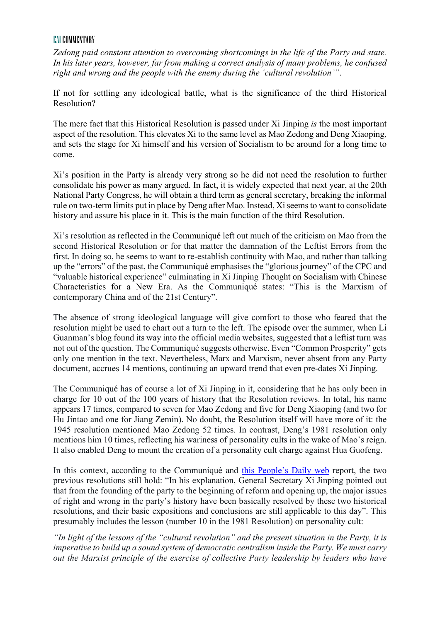## EAI COMMENTARY

*Zedong paid constant attention to overcoming shortcomings in the life of the Party and state. In his later years, however, far from making a correct analysis of many problems, he confused right and wrong and the people with the enemy during the 'cultural revolution'"*.

If not for settling any ideological battle, what is the significance of the third Historical Resolution?

The mere fact that this Historical Resolution is passed under Xi Jinping *is* the most important aspect of the resolution. This elevates Xi to the same level as Mao Zedong and Deng Xiaoping, and sets the stage for Xi himself and his version of Socialism to be around for a long time to come.

Xi's position in the Party is already very strong so he did not need the resolution to further consolidate his power as many argued. In fact, it is widely expected that next year, at the 20th National Party Congress, he will obtain a third term as general secretary, breaking the informal rule on two-term limits put in place by Deng after Mao. Instead, Xi seems to want to consolidate history and assure his place in it. This is the main function of the third Resolution.

Xi's resolution as reflected in the Communiqué left out much of the criticism on Mao from the second Historical Resolution or for that matter the damnation of the Leftist Errors from the first. In doing so, he seems to want to re-establish continuity with Mao, and rather than talking up the "errors" of the past, the Communiqué emphasises the "glorious journey" of the CPC and "valuable historical experience" culminating in Xi Jinping Thought on Socialism with Chinese Characteristics for a New Era. As the Communiqué states: "This is the Marxism of contemporary China and of the 21st Century".

The absence of strong ideological language will give comfort to those who feared that the resolution might be used to chart out a turn to the left. The episode over the summer, when Li Guanman's blog found its way into the official media websites, suggested that a leftist turn was not out of the question. The Communiqué suggests otherwise. Even "Common Prosperity" gets only one mention in the text. Nevertheless, Marx and Marxism, never absent from any Party document, accrues 14 mentions, continuing an upward trend that even pre-dates Xi Jinping.

The Communiqué has of course a lot of Xi Jinping in it, considering that he has only been in charge for 10 out of the 100 years of history that the Resolution reviews. In total, his name appears 17 times, compared to seven for Mao Zedong and five for Deng Xiaoping (and two for Hu Jintao and one for Jiang Zemin). No doubt, the Resolution itself will have more of it: the 1945 resolution mentioned Mao Zedong 52 times. In contrast, Deng's 1981 resolution only mentions him 10 times, reflecting his wariness of personality cults in the wake of Mao's reign. It also enabled Deng to mount the creation of a personality cult charge against Hua Guofeng.

In this context, according to the Communiqué and [this People's Daily web](http://politics.people.com.cn/n1/2021/1113/c1001-32281216.html) report, the two previous resolutions still hold: "In his explanation, General Secretary Xi Jinping pointed out that from the founding of the party to the beginning of reform and opening up, the major issues of right and wrong in the party's history have been basically resolved by these two historical resolutions, and their basic expositions and conclusions are still applicable to this day". This presumably includes the lesson (number 10 in the 1981 Resolution) on personality cult:

*"In light of the lessons of the "cultural revolution" and the present situation in the Party, it is imperative to build up a sound system of democratic centralism inside the Party. We must carry out the Marxist principle of the exercise of collective Party leadership by leaders who have*